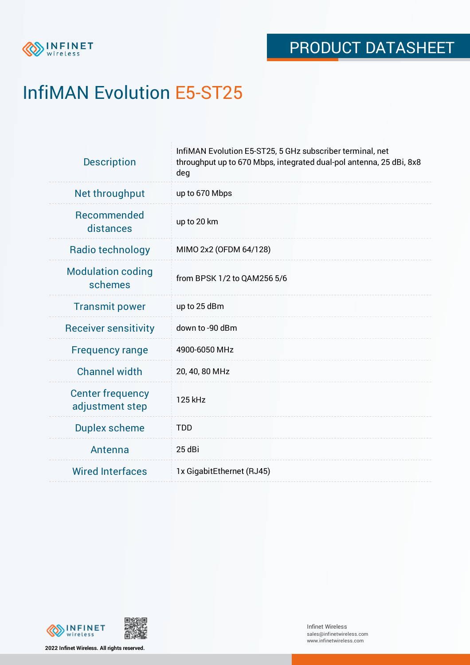

# InfiMAN Evolution E5-ST25

| <b>Description</b>                         | InfiMAN Evolution E5-ST25, 5 GHz subscriber terminal, net<br>throughput up to 670 Mbps, integrated dual-pol antenna, 25 dBi, 8x8<br>deg |  |  |  |
|--------------------------------------------|-----------------------------------------------------------------------------------------------------------------------------------------|--|--|--|
| Net throughput                             | up to 670 Mbps                                                                                                                          |  |  |  |
| <b>Recommended</b><br>distances            | up to 20 km                                                                                                                             |  |  |  |
| Radio technology                           | MIMO 2x2 (OFDM 64/128)                                                                                                                  |  |  |  |
| <b>Modulation coding</b><br>schemes        | from BPSK 1/2 to QAM256 5/6                                                                                                             |  |  |  |
| <b>Transmit power</b>                      | up to 25 dBm                                                                                                                            |  |  |  |
| <b>Receiver sensitivity</b>                | down to -90 dBm                                                                                                                         |  |  |  |
| <b>Frequency range</b>                     | 4900-6050 MHz                                                                                                                           |  |  |  |
| <b>Channel width</b>                       | 20, 40, 80 MHz                                                                                                                          |  |  |  |
| <b>Center frequency</b><br>adjustment step | 125 kHz                                                                                                                                 |  |  |  |
| <b>Duplex scheme</b>                       | <b>TDD</b>                                                                                                                              |  |  |  |
| Antenna                                    | 25 dBi                                                                                                                                  |  |  |  |
| <b>Wired Interfaces</b>                    | 1x GigabitEthernet (RJ45)                                                                                                               |  |  |  |



**2022 Infinet Wireless. All rights reserved.**

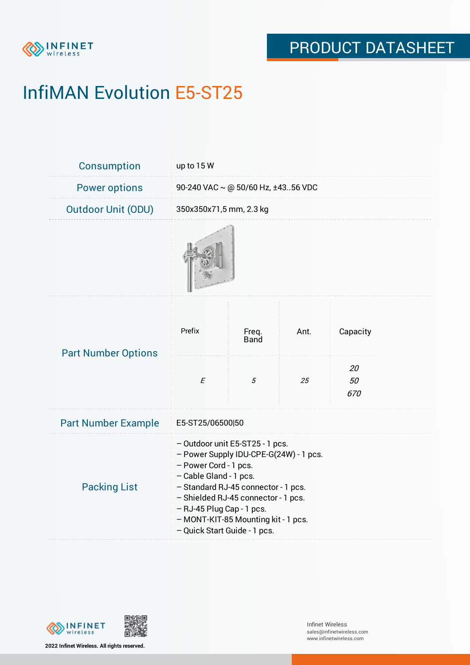

# InfiMAN Evolution E5-ST25

| Consumption                | up to 15 W                                                                                                                                                                                                                                                                                                     |                      |      |                 |  |  |
|----------------------------|----------------------------------------------------------------------------------------------------------------------------------------------------------------------------------------------------------------------------------------------------------------------------------------------------------------|----------------------|------|-----------------|--|--|
| <b>Power options</b>       | 90-240 VAC ~ @ 50/60 Hz, ±4356 VDC                                                                                                                                                                                                                                                                             |                      |      |                 |  |  |
| <b>Outdoor Unit (ODU)</b>  | 350x350x71,5 mm, 2.3 kg                                                                                                                                                                                                                                                                                        |                      |      |                 |  |  |
|                            |                                                                                                                                                                                                                                                                                                                |                      |      |                 |  |  |
| <b>Part Number Options</b> | Prefix                                                                                                                                                                                                                                                                                                         | Freq.<br><b>Band</b> | Ant. | Capacity        |  |  |
|                            | $\cal E$                                                                                                                                                                                                                                                                                                       | 5                    | 25   | 20<br>50<br>670 |  |  |
| <b>Part Number Example</b> | E5-ST25/06500 50                                                                                                                                                                                                                                                                                               |                      |      |                 |  |  |
| <b>Packing List</b>        | - Outdoor unit E5-ST25 - 1 pcs.<br>- Power Supply IDU-CPE-G(24W) - 1 pcs.<br>- Power Cord - 1 pcs.<br>- Cable Gland - 1 pcs.<br>- Standard RJ-45 connector - 1 pcs.<br>- Shielded RJ-45 connector - 1 pcs.<br>- RJ-45 Plug Cap - 1 pcs.<br>- MONT-KIT-85 Mounting kit - 1 pcs.<br>- Quick Start Guide - 1 pcs. |                      |      |                 |  |  |



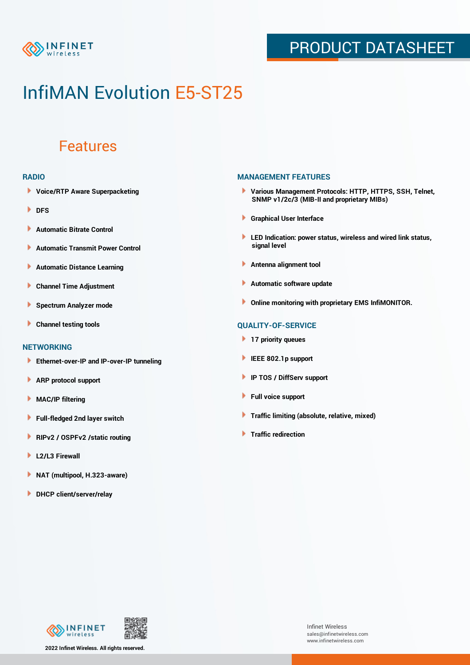

### PRODUCT DATASHEET

## InfiMAN Evolution E5-ST25

### Features

#### **RADIO**

- **Voice/RTP Aware Superpacketing**
- **DFS**
- **Automatic Bitrate Control** Þ
- Þ **Automatic Transmit Power Control**
- Þ **Automatic Distance Learning**
- Þ **Channel Time Adjustment**
- Þ **Spectrum Analyzer mode**
- Þ **Channel testing tools**

### **NETWORKING**

- **Ethernet-over-IP and IP-over-IP tunneling**
- Þ **ARP protocol support**
- **MAC/IP filtering** Þ
- **Full-fledged 2nd layer switch**
- Þ **RIPv2 / OSPFv2 /static routing**
- ٠ **L2/L3 Firewall**
- × **NAT (multipool, H.323-aware)**
- **DHCP client/server/relay**

#### **MANAGEMENT FEATURES**

- **Various Management Protocols: HTTP, HTTPS, SSH, Telnet, SNMP v1/2c/3 (MIB-II and proprietary MIBs)**
- **Graphical User Interface**
- **LED Indication: power status, wireless and wired link status, signal level**
- **Antenna alignment tool**
- ٠ **Automatic software update**
- **Online monitoring with proprietary EMS InfiMONITOR.**

### **QUALITY-OF-SERVICE**

- **17 priority queues**
- **IEEE 802.1p support**
- **IP TOS / DiffServ support**
- ٠ **Full voice support**
- **Traffic limiting (absolute, relative, mixed)** ٠
- **Traffic redirection**



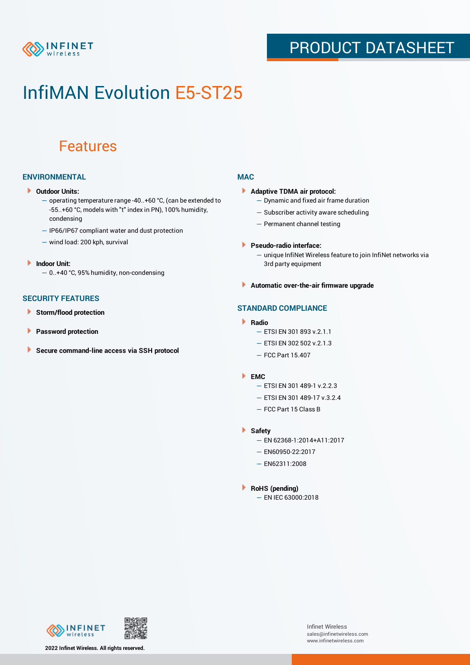

### PRODUCT DATASHEET

## InfiMAN Evolution E5-ST25

### Features

### **ENVIRONMENTAL**

- **Outdoor Units:**
	- operating temperature range -40..+60 °C, (can be extended to -55..+60 °С, models with "t" index in PN), 100% humidity, condensing
	- IP66/IP67 compliant water and dust protection
	- wind load: 200 kph, survival
- **Indoor Unit:**
	- 0..+40 °C, 95% humidity, non-condensing

### **SECURITY FEATURES**

- Þ **Storm/flood protection**
- ۱ **Password protection**
- **Secure command-line access via SSH protocol** Þ

#### **MAC**

- **Adaptive TDMA air protocol:**
	- Dynamic and fixed air frame duration
	- Subscriber activity aware scheduling
	- Permanent channel testing
- **Pseudo-radio interface:**
	- unique InfiNet Wireless feature to join InfiNet networks via 3rd party equipment
- **Automatic over-the-air firmware upgrade**

### **STANDARD COMPLIANCE**

- **Radio**
	- ETSI EN 301 893 v.2.1.1
	- ETSI EN 302 502 v.2.1.3
	- FCC Part 15.407

#### **EMC**

- ETSI EN 301 489-1 v.2.2.3
	- ETSI EN 301 489-17 v.3.2.4
	- FCC Part 15 Class B
- **Safety**
	- EN 62368-1:2014+A11:2017
	- EN60950-22:2017
	- EN62311:2008
- **RoHS (pending)**
	- EN IEC 63000:2018